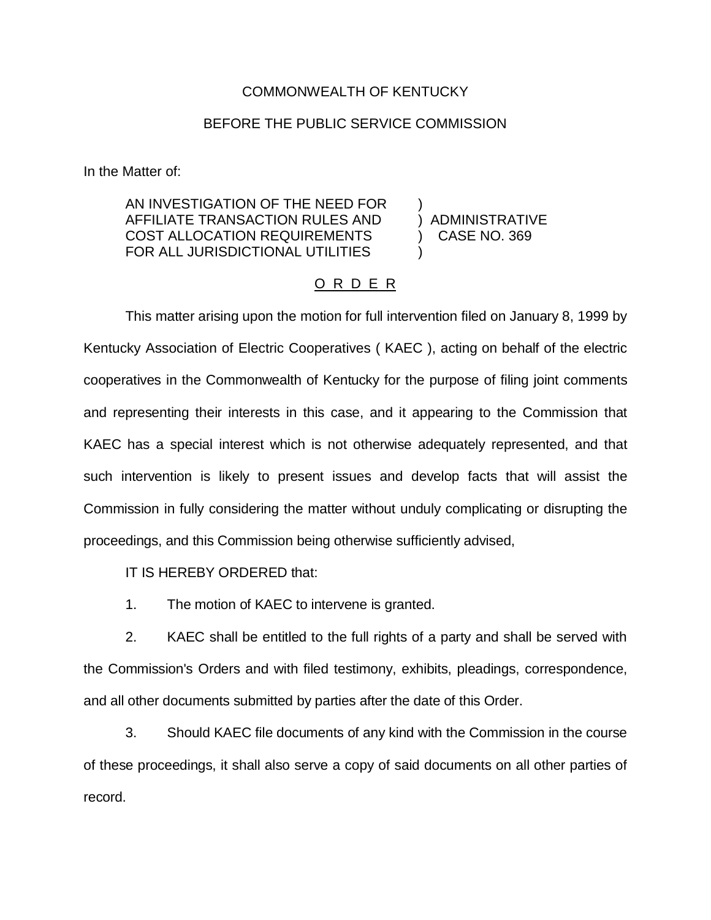## COMMONWEALTH OF KENTUCKY

## BEFORE THE PUBLIC SERVICE COMMISSION

In the Matter of:

AN INVESTIGATION OF THE NEED FOR ) AFFILIATE TRANSACTION RULES AND ) ADMINISTRATIVE COST ALLOCATION REQUIREMENTS ) CASE NO. 369 FOR ALL JURISDICTIONAL UTILITIES

## O R D E R

This matter arising upon the motion for full intervention filed on January 8, 1999 by Kentucky Association of Electric Cooperatives ( KAEC ), acting on behalf of the electric cooperatives in the Commonwealth of Kentucky for the purpose of filing joint comments and representing their interests in this case, and it appearing to the Commission that KAEC has a special interest which is not otherwise adequately represented, and that such intervention is likely to present issues and develop facts that will assist the Commission in fully considering the matter without unduly complicating or disrupting the proceedings, and this Commission being otherwise sufficiently advised,

IT IS HEREBY ORDERED that:

1. The motion of KAEC to intervene is granted.

2. KAEC shall be entitled to the full rights of a party and shall be served with the Commission's Orders and with filed testimony, exhibits, pleadings, correspondence, and all other documents submitted by parties after the date of this Order.

3. Should KAEC file documents of any kind with the Commission in the course of these proceedings, it shall also serve a copy of said documents on all other parties of record.